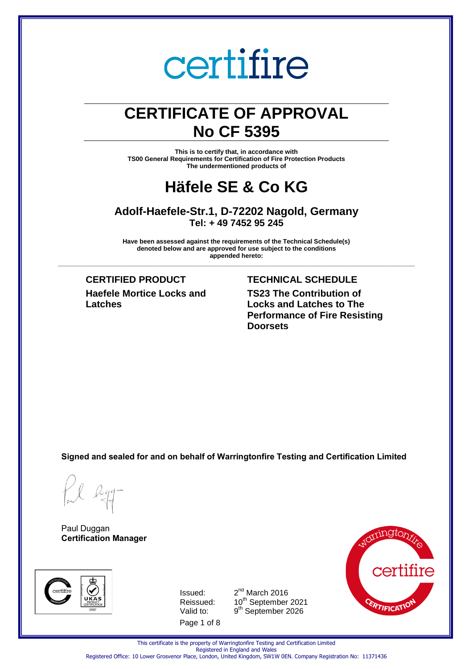### **CERTIFICATE OF APPROVAL No CF 5395**

**This is to certify that, in accordance with TS00 General Requirements for Certification of Fire Protection Products The undermentioned products of** 

### **Häfele SE & Co KG**

### **Adolf-Haefele-Str.1, D-72202 Nagold, Germany Tel: + 49 7452 95 245**

**Have been assessed against the requirements of the Technical Schedule(s) denoted below and are approved for use subject to the conditions appended hereto: \_\_\_\_\_\_\_\_\_\_\_\_\_\_\_\_\_\_\_\_\_\_\_\_\_\_\_\_\_\_\_\_\_\_\_\_\_\_\_\_\_\_\_\_\_\_\_\_\_\_\_\_\_\_\_\_\_\_\_\_\_\_\_\_\_\_\_\_\_\_\_\_\_\_\_\_\_\_\_\_\_\_\_\_\_\_\_\_\_\_\_\_\_\_\_\_\_\_\_\_\_**

**Haefele Mortice Locks and Latches**

### **CERTIFIED PRODUCT TECHNICAL SCHEDULE**

**TS23 The Contribution of Locks and Latches to The Performance of Fire Resisting Doorsets**

**Signed and sealed for and on behalf of Warringtonfire Testing and Certification Limited**

Paul Duggan **Certification Manager**



Page 1 of 8 Issued: 2 Valid to:

 $2<sup>nd</sup>$  March 2016 Reissued: 10<sup>th</sup> September 2021 9<sup>th</sup> September 2026



This certificate is the property of Warringtonfire Testing and Certification Limited Registered in England and Wales Registered Office: 10 Lower Grosvenor Place, London, United Kingdom, SW1W 0EN. Company Registration No: 11371436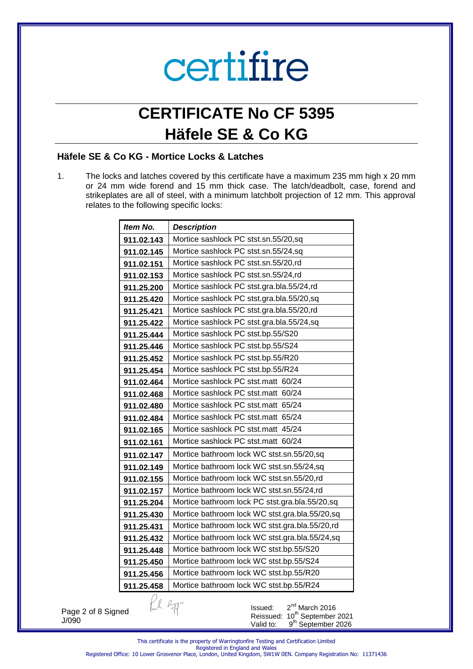## **CERTIFICATE No CF 5395 Häfele SE & Co KG**

### **Häfele SE & Co KG - Mortice Locks & Latches**

1. The locks and latches covered by this certificate have a maximum 235 mm high x 20 mm or 24 mm wide forend and 15 mm thick case. The latch/deadbolt, case, forend and strikeplates are all of steel, with a minimum latchbolt projection of 12 mm. This approval relates to the following specific locks:

| Item No.        | <b>Description</b>                             |
|-----------------|------------------------------------------------|
| 911.02.143      | Mortice sashlock PC stst.sn.55/20,sq           |
| 911.02.145      | Mortice sashlock PC stst.sn.55/24,sq           |
| 911.02.151      | Mortice sashlock PC stst.sn.55/20,rd           |
| 911.02.153      | Mortice sashlock PC stst.sn.55/24,rd           |
| 911.25.200      | Mortice sashlock PC stst.gra.bla.55/24,rd      |
| 911.25.420      | Mortice sashlock PC stst.gra.bla.55/20,sq      |
| 911.25.421      | Mortice sashlock PC stst.gra.bla.55/20,rd      |
| 911.25.422      | Mortice sashlock PC stst.gra.bla.55/24,sq      |
| 911.25.444      | Mortice sashlock PC stst.bp.55/S20             |
| 911.25.446      | Mortice sashlock PC stst.bp.55/S24             |
| 911.25.452      | Mortice sashlock PC stst.bp.55/R20             |
| 911.25.454      | Mortice sashlock PC stst.bp.55/R24             |
| 911.02.464      | Mortice sashlock PC stst.matt 60/24            |
| 911.02.468      | Mortice sashlock PC stst.matt 60/24            |
| 911.02.480      | Mortice sashlock PC stst.matt 65/24            |
| 911.02.484      | Mortice sashlock PC stst.matt 65/24            |
| 911.02.165      | Mortice sashlock PC stst.matt 45/24            |
| 911.02.161      | Mortice sashlock PC stst.matt 60/24            |
| 911.02.147      | Mortice bathroom lock WC stst.sn.55/20,sq      |
| 911.02.149      | Mortice bathroom lock WC stst.sn.55/24,sq      |
| 911.02.155      | Mortice bathroom lock WC stst.sn.55/20,rd      |
| 911.02.157      | Mortice bathroom lock WC stst.sn.55/24,rd      |
| 911.25.204      | Mortice bathroom lock PC stst.gra.bla.55/20,sq |
| 911.25.430      | Mortice bathroom lock WC stst.gra.bla.55/20,sq |
| 911.25.431      | Mortice bathroom lock WC stst.gra.bla.55/20,rd |
| 911.25.432      | Mortice bathroom lock WC stst.gra.bla.55/24,sq |
| 911.25.448      | Mortice bathroom lock WC stst.bp.55/S20        |
| 911.25.450      | Mortice bathroom lock WC stst.bp.55/S24        |
| 911.25.456      | Mortice bathroom lock WC stst.bp.55/R20        |
| 911.25.458      | Mortice bathroom lock WC stst.bp.55/R24        |
| al ligg-<br>ned | 2 <sup>nd</sup> March 2016<br>Issued:<br>⊶h⊳.  |

Page 2 of 8 Signed J/090

Issued:  $2<sup>nd</sup>$  March 2016 Reissued: 10<sup>th</sup> September 2021 Valid to: 9<sup>th</sup> September 2026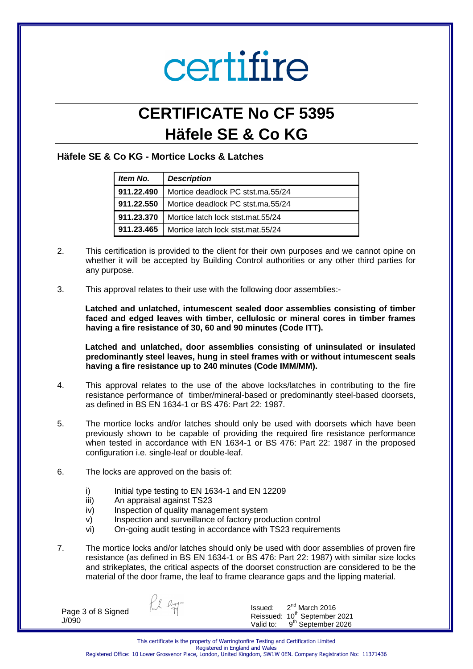## **CERTIFICATE No CF 5395 Häfele SE & Co KG**

### **Häfele SE & Co KG - Mortice Locks & Latches**

| Item No.   | <b>Description</b>                |  |
|------------|-----------------------------------|--|
| 911.22.490 | Mortice deadlock PC stst.ma.55/24 |  |
| 911.22.550 | Mortice deadlock PC stst.ma.55/24 |  |
| 911.23.370 | Mortice latch lock stst.mat.55/24 |  |
| 911 23 465 | Mortice latch lock stst.mat.55/24 |  |

- 2. This certification is provided to the client for their own purposes and we cannot opine on whether it will be accepted by Building Control authorities or any other third parties for any purpose.
- 3. This approval relates to their use with the following door assemblies:-

**Latched and unlatched, intumescent sealed door assemblies consisting of timber faced and edged leaves with timber, cellulosic or mineral cores in timber frames having a fire resistance of 30, 60 and 90 minutes (Code ITT).** 

**Latched and unlatched, door assemblies consisting of uninsulated or insulated predominantly steel leaves, hung in steel frames with or without intumescent seals having a fire resistance up to 240 minutes (Code IMM/MM).** 

- 4. This approval relates to the use of the above locks/latches in contributing to the fire resistance performance of timber/mineral-based or predominantly steel-based doorsets, as defined in BS EN 1634-1 or BS 476: Part 22: 1987.
- 5. The mortice locks and/or latches should only be used with doorsets which have been previously shown to be capable of providing the required fire resistance performance when tested in accordance with EN 1634-1 or BS 476: Part 22: 1987 in the proposed configuration i.e. single-leaf or double-leaf.
- 6. The locks are approved on the basis of:
	- i) Initial type testing to EN 1634-1 and EN 12209
	- iii) An appraisal against TS23
	- iv) Inspection of quality management system
	- v) Inspection and surveillance of factory production control
	- vi) On-going audit testing in accordance with TS23 requirements
- 7. The mortice locks and/or latches should only be used with door assemblies of proven fire resistance (as defined in BS EN 1634-1 or BS 476: Part 22: 1987) with similar size locks and strikeplates, the critical aspects of the doorset construction are considered to be the material of the door frame, the leaf to frame clearance gaps and the lipping material.

Page 3 of 8 Signed J/090

fol ly

Issued: 2  $2<sup>nd</sup>$  March 2016 Reissued: 10<sup>th</sup> September 2021 Valid to: 9<sup>th</sup> September 2026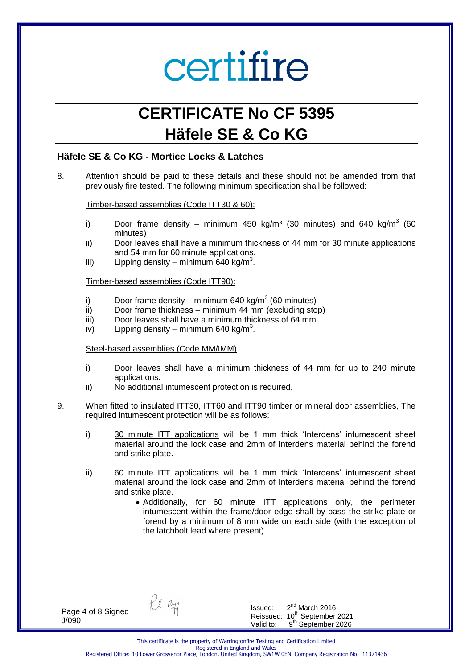## **CERTIFICATE No CF 5395 Häfele SE & Co KG**

#### **Häfele SE & Co KG - Mortice Locks & Latches**

8. Attention should be paid to these details and these should not be amended from that previously fire tested. The following minimum specification shall be followed:

Timber-based assemblies (Code ITT30 & 60):

- i) Door frame density minimum 450 kg/m<sup>3</sup> (30 minutes) and 640 kg/m<sup>3</sup> (60 minutes)
- ii) Door leaves shall have a minimum thickness of 44 mm for 30 minute applications and 54 mm for 60 minute applications.
- iii) Lipping density minimum 640 kg/m<sup>3</sup>.

Timber-based assemblies (Code ITT90):

- i) Door frame density minimum 640 kg/m<sup>3</sup> (60 minutes)
- ii) Door frame thickness minimum 44 mm (excluding stop)
- iii) Door leaves shall have a minimum thickness of 64 mm.
- iv) Lipping density minimum 640 kg/m<sup>3</sup>.

#### Steel-based assemblies (Code MM/IMM)

- i) Door leaves shall have a minimum thickness of 44 mm for up to 240 minute applications.
- ii) No additional intumescent protection is required.
- 9. When fitted to insulated ITT30, ITT60 and ITT90 timber or mineral door assemblies, The required intumescent protection will be as follows:
	- i) 30 minute ITT applications will be 1 mm thick 'Interdens' intumescent sheet material around the lock case and 2mm of Interdens material behind the forend and strike plate.
	- ii) 60 minute ITT applications will be 1 mm thick 'Interdens' intumescent sheet material around the lock case and 2mm of Interdens material behind the forend and strike plate.
		- Additionally, for 60 minute ITT applications only, the perimeter intumescent within the frame/door edge shall by-pass the strike plate or forend by a minimum of 8 mm wide on each side (with the exception of the latchbolt lead where present).

Page 4 of 8 Signed J/090

fol ligg-

Issued:  $2<sup>nd</sup>$  March 2016 Reissued: 10<sup>th</sup> September 2021 Valid to: 9<sup>th</sup> September 2026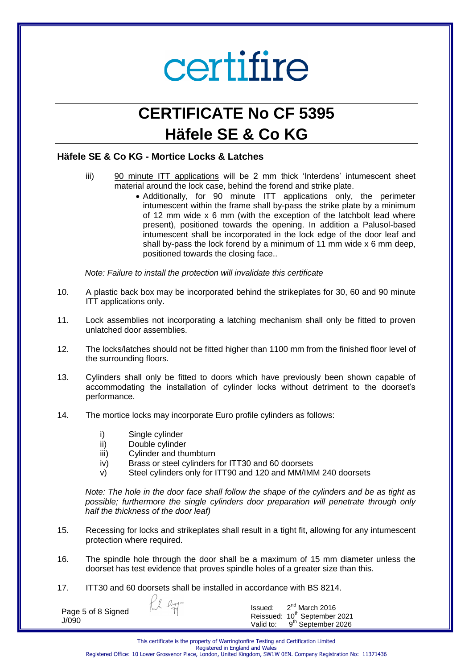## **CERTIFICATE No CF 5395 Häfele SE & Co KG**

### **Häfele SE & Co KG - Mortice Locks & Latches**

- iii) 90 minute ITT applications will be 2 mm thick 'Interdens' intumescent sheet material around the lock case, behind the forend and strike plate.
	- Additionally, for 90 minute ITT applications only, the perimeter intumescent within the frame shall by-pass the strike plate by a minimum of 12 mm wide x 6 mm (with the exception of the latchbolt lead where present), positioned towards the opening. In addition a Palusol-based intumescent shall be incorporated in the lock edge of the door leaf and shall by-pass the lock forend by a minimum of 11 mm wide x 6 mm deep, positioned towards the closing face..

*Note: Failure to install the protection will invalidate this certificate* 

- 10. A plastic back box may be incorporated behind the strikeplates for 30, 60 and 90 minute ITT applications only.
- 11. Lock assemblies not incorporating a latching mechanism shall only be fitted to proven unlatched door assemblies.
- 12. The locks/latches should not be fitted higher than 1100 mm from the finished floor level of the surrounding floors.
- 13. Cylinders shall only be fitted to doors which have previously been shown capable of accommodating the installation of cylinder locks without detriment to the doorset's performance.
- 14. The mortice locks may incorporate Euro profile cylinders as follows:
	- i) Single cylinder
	- ii) Double cylinder
	- iii) Cylinder and thumbturn
	- iv) Brass or steel cylinders for ITT30 and 60 doorsets
	- v) Steel cylinders only for ITT90 and 120 and MM/IMM 240 doorsets

*Note: The hole in the door face shall follow the shape of the cylinders and be as tight as possible; furthermore the single cylinders door preparation will penetrate through only half the thickness of the door leaf)* 

- 15. Recessing for locks and strikeplates shall result in a tight fit, allowing for any intumescent protection where required.
- 16. The spindle hole through the door shall be a maximum of 15 mm diameter unless the doorset has test evidence that proves spindle holes of a greater size than this.
- 17. ITT30 and 60 doorsets shall be installed in accordance with BS 8214.

 $247$ 

Page 5 of 8 Signed J/090

Issued: 2  $2<sup>nd</sup>$  March 2016 Reissued: 10<sup>th</sup> September 2021 Valid to: 9<sup>th</sup> September 2026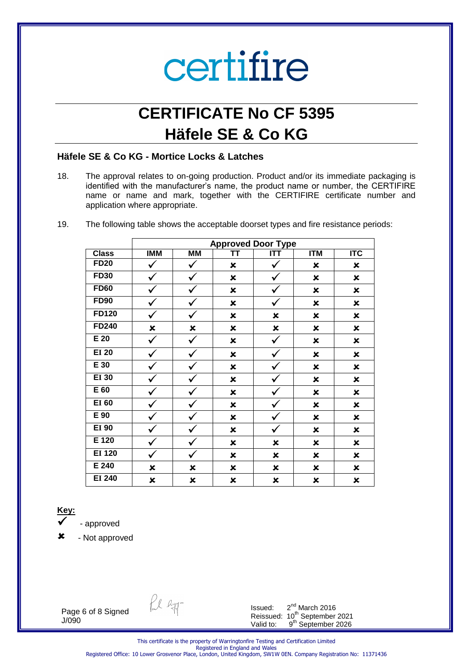## **CERTIFICATE No CF 5395 Häfele SE & Co KG**

#### **Häfele SE & Co KG - Mortice Locks & Latches**

- 18. The approval relates to on-going production. Product and/or its immediate packaging is identified with the manufacturer's name, the product name or number, the CERTIFIRE name or name and mark, together with the CERTIFIRE certificate number and application where appropriate.
- 19. The following table shows the acceptable doorset types and fire resistance periods:

|               | <b>Approved Door Type</b> |           |                           |                |                           |                         |  |  |
|---------------|---------------------------|-----------|---------------------------|----------------|---------------------------|-------------------------|--|--|
| <b>Class</b>  | <b>IMM</b>                | <b>MM</b> | ΤT                        | <b>ITT</b>     | <b>ITM</b>                | $\overline{\text{ITC}}$ |  |  |
| <b>FD20</b>   | ✔                         |           | $\pmb{\times}$            |                | ×                         | ×                       |  |  |
| <b>FD30</b>   | $\checkmark$              |           | ×                         | $\checkmark$   | $\pmb{\times}$            | $\pmb{\times}$          |  |  |
| <b>FD60</b>   | ✔                         |           | $\pmb{\times}$            | v              | $\boldsymbol{\mathsf{x}}$ | $\pmb{\times}$          |  |  |
| <b>FD90</b>   | v                         |           | $\pmb{\times}$            | $\checkmark$   | $\pmb{\times}$            | $\mathbf x$             |  |  |
| <b>FD120</b>  | V                         |           | $\pmb{\times}$            | ×              | $\pmb{\times}$            | $\pmb{\times}$          |  |  |
| FD240         | $\pmb{\times}$            | ×         | $\pmb{\times}$            | $\pmb{\times}$ | $\pmb{\times}$            | $\pmb{\times}$          |  |  |
| $E$ 20        | ✓                         |           | $\pmb{\times}$            | ✓              | $\pmb{\times}$            | ×                       |  |  |
| <b>EI 20</b>  | ✔                         |           | $\boldsymbol{\mathsf{x}}$ | v              | $\boldsymbol{\mathsf{x}}$ | $\pmb{\times}$          |  |  |
| E 30          | ✔                         |           | $\pmb{\times}$            |                | $\pmb{\times}$            | ×                       |  |  |
| <b>EI 30</b>  | ✔                         |           | ×                         |                | $\pmb{\times}$            | ×                       |  |  |
| E 60          | ✓                         |           | $\pmb{\times}$            |                | $\pmb{\times}$            | ×                       |  |  |
| <b>EI 60</b>  | V                         |           | $\pmb{\times}$            | $\checkmark$   | $\pmb{\times}$            | $\pmb{\times}$          |  |  |
| E 90          | ✔                         |           | $\pmb{\times}$            |                | $\pmb{\times}$            | $\mathbf x$             |  |  |
| <b>EI 90</b>  | v                         |           | $\pmb{\times}$            | ✔              | $\pmb{\times}$            | $\mathbf x$             |  |  |
| E 120         | V                         |           | $\pmb{\times}$            | ×              | $\pmb{\times}$            | $\pmb{\times}$          |  |  |
| <b>EI 120</b> | ✓                         |           | $\pmb{\times}$            | $\pmb{\times}$ | $\pmb{\times}$            | $\pmb{\times}$          |  |  |
| E 240         | $\pmb{\times}$            | ×         | $\pmb{\times}$            | ×              | $\pmb{\times}$            | $\pmb{\times}$          |  |  |
| <b>EI 240</b> | ×                         | ×         | ×                         | ×              | ×                         | $\pmb{\times}$          |  |  |

### **Key:**

- approved

- Not approved

Page 6 of 8 Signed J/090

Pul Ryg-

Issued:  $2<sup>nd</sup>$  March 2016 Reissued: 10<sup>th</sup> September 2021 Valid to: 9<sup>th</sup> September 2026

This certificate is the property of Warringtonfire Testing and Certification Limited Registered in England and Wales Registered Office: 10 Lower Grosvenor Place, London, United Kingdom, SW1W 0EN. Company Registration No: 11371436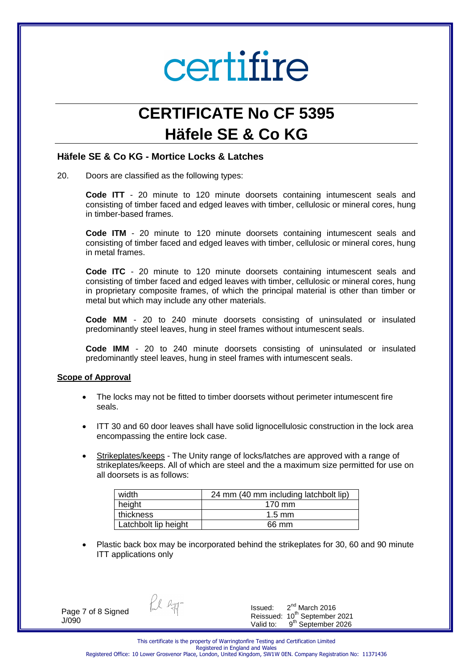## **CERTIFICATE No CF 5395 Häfele SE & Co KG**

#### **Häfele SE & Co KG - Mortice Locks & Latches**

20. Doors are classified as the following types:

**Code ITT** - 20 minute to 120 minute doorsets containing intumescent seals and consisting of timber faced and edged leaves with timber, cellulosic or mineral cores, hung in timber-based frames.

**Code ITM** - 20 minute to 120 minute doorsets containing intumescent seals and consisting of timber faced and edged leaves with timber, cellulosic or mineral cores, hung in metal frames.

**Code ITC** - 20 minute to 120 minute doorsets containing intumescent seals and consisting of timber faced and edged leaves with timber, cellulosic or mineral cores, hung in proprietary composite frames, of which the principal material is other than timber or metal but which may include any other materials.

**Code MM** - 20 to 240 minute doorsets consisting of uninsulated or insulated predominantly steel leaves, hung in steel frames without intumescent seals.

**Code IMM** - 20 to 240 minute doorsets consisting of uninsulated or insulated predominantly steel leaves, hung in steel frames with intumescent seals.

#### **Scope of Approval**

- The locks may not be fitted to timber doorsets without perimeter intumescent fire seals.
- ITT 30 and 60 door leaves shall have solid lignocellulosic construction in the lock area encompassing the entire lock case.
- Strikeplates/keeps The Unity range of locks/latches are approved with a range of strikeplates/keeps. All of which are steel and the a maximum size permitted for use on all doorsets is as follows:

| width                | 24 mm (40 mm including latchbolt lip) |
|----------------------|---------------------------------------|
| height               | 170 mm                                |
| thickness            | $1.5 \text{ mm}$                      |
| Latchbolt lip height | 66 mm                                 |

 Plastic back box may be incorporated behind the strikeplates for 30, 60 and 90 minute ITT applications only

Page 7 of 8 Signed J/090

fal lyg-

Issued: 2  $2<sup>nd</sup>$  March 2016 Reissued: 10<sup>th</sup> September 2021 Valid to: 9<sup>th</sup> September 2026